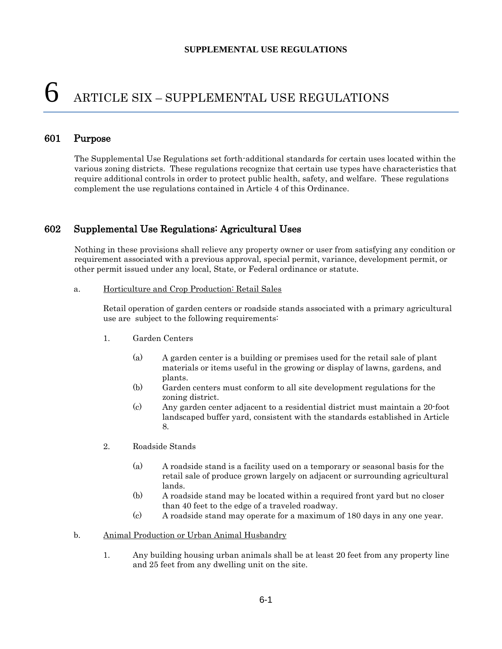# $6$  ARTICLE SIX – SUPPLEMENTAL USE REGULATIONS

## 601 Purpose

The Supplemental Use Regulations set forth-additional standards for certain uses located within the various zoning districts. These regulations recognize that certain use types have characteristics that require additional controls in order to protect public health, safety, and welfare. These regulations complement the use regulations contained in Article 4 of this Ordinance.

# 602 Supplemental Use Regulations: Agricultural Uses

Nothing in these provisions shall relieve any property owner or user from satisfying any condition or requirement associated with a previous approval, special permit, variance, development permit, or other permit issued under any local, State, or Federal ordinance or statute.

#### a. Horticulture and Crop Production: Retail Sales

Retail operation of garden centers or roadside stands associated with a primary agricultural use are subject to the following requirements:

- 1. Garden Centers
	- (a) A garden center is a building or premises used for the retail sale of plant materials or items useful in the growing or display of lawns, gardens, and plants.
	- (b) Garden centers must conform to all site development regulations for the zoning district.
	- (c) Any garden center adjacent to a residential district must maintain a 20-foot landscaped buffer yard, consistent with the standards established in Article 8.
- 2. Roadside Stands
	- (a) A roadside stand is a facility used on a temporary or seasonal basis for the retail sale of produce grown largely on adjacent or surrounding agricultural lands.
	- (b) A roadside stand may be located within a required front yard but no closer than 40 feet to the edge of a traveled roadway.
	- (c) A roadside stand may operate for a maximum of 180 days in any one year.
- b. Animal Production or Urban Animal Husbandry
	- 1. Any building housing urban animals shall be at least 20 feet from any property line and 25 feet from any dwelling unit on the site.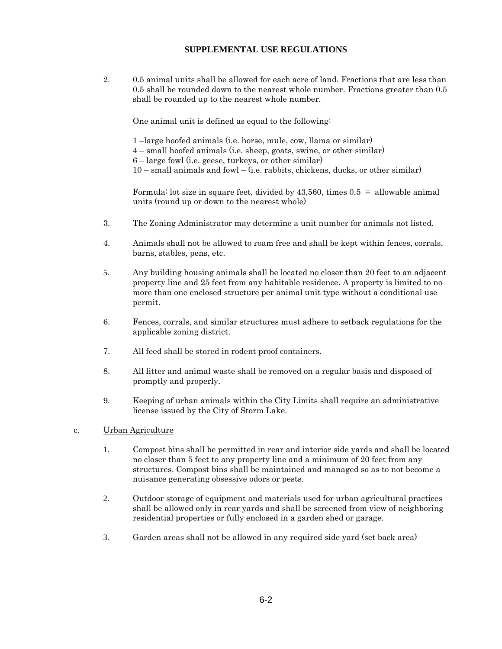2. 0.5 animal units shall be allowed for each acre of land. Fractions that are less than 0.5 shall be rounded down to the nearest whole number. Fractions greater than 0.5 shall be rounded up to the nearest whole number.

One animal unit is defined as equal to the following:

- 1 –large hoofed animals (i.e. horse, mule, cow, llama or similar)
- 4 small hoofed animals (i.e. sheep, goats, swine, or other similar)
- 6 large fowl (i.e. geese, turkeys, or other similar)
- $10$  small animals and fowl (i.e. rabbits, chickens, ducks, or other similar)

Formula: lot size in square feet, divided by 43,560, times 0.5 = allowable animal units (round up or down to the nearest whole)

- 3. The Zoning Administrator may determine a unit number for animals not listed.
- 4. Animals shall not be allowed to roam free and shall be kept within fences, corrals, barns, stables, pens, etc.
- 5. Any building housing animals shall be located no closer than 20 feet to an adjacent property line and 25 feet from any habitable residence. A property is limited to no more than one enclosed structure per animal unit type without a conditional use permit.
- 6. Fences, corrals, and similar structures must adhere to setback regulations for the applicable zoning district.
- 7. All feed shall be stored in rodent proof containers.
- 8. All litter and animal waste shall be removed on a regular basis and disposed of promptly and properly.
- 9. Keeping of urban animals within the City Limits shall require an administrative license issued by the City of Storm Lake.

## c. Urban Agriculture

- 1. Compost bins shall be permitted in rear and interior side yards and shall be located no closer than 5 feet to any property line and a minimum of 20 feet from any structures. Compost bins shall be maintained and managed so as to not become a nuisance generating obsessive odors or pests.
- 2. Outdoor storage of equipment and materials used for urban agricultural practices shall be allowed only in rear yards and shall be screened from view of neighboring residential properties or fully enclosed in a garden shed or garage.
- 3. Garden areas shall not be allowed in any required side yard (set back area)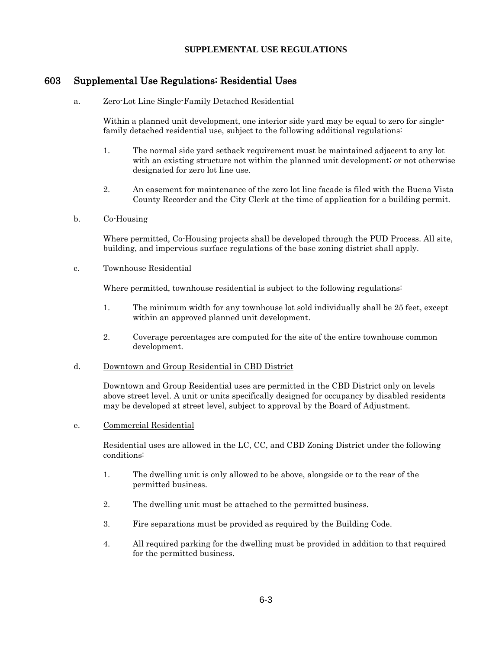# 603 Supplemental Use Regulations: Residential Uses

#### a. Zero-Lot Line Single-Family Detached Residential

Within a planned unit development, one interior side yard may be equal to zero for singlefamily detached residential use, subject to the following additional regulations:

- 1. The normal side yard setback requirement must be maintained adjacent to any lot with an existing structure not within the planned unit development; or not otherwise designated for zero lot line use.
- 2. An easement for maintenance of the zero lot line facade is filed with the Buena Vista County Recorder and the City Clerk at the time of application for a building permit.

#### b. Co-Housing

Where permitted, Co-Housing projects shall be developed through the PUD Process. All site, building, and impervious surface regulations of the base zoning district shall apply.

#### c. Townhouse Residential

Where permitted, townhouse residential is subject to the following regulations:

- 1. The minimum width for any townhouse lot sold individually shall be 25 feet, except within an approved planned unit development.
- 2. Coverage percentages are computed for the site of the entire townhouse common development.

#### d. Downtown and Group Residential in CBD District

Downtown and Group Residential uses are permitted in the CBD District only on levels above street level. A unit or units specifically designed for occupancy by disabled residents may be developed at street level, subject to approval by the Board of Adjustment.

#### e. Commercial Residential

Residential uses are allowed in the LC, CC, and CBD Zoning District under the following conditions:

- 1. The dwelling unit is only allowed to be above, alongside or to the rear of the permitted business.
- 2. The dwelling unit must be attached to the permitted business.
- 3. Fire separations must be provided as required by the Building Code.
- 4. All required parking for the dwelling must be provided in addition to that required for the permitted business.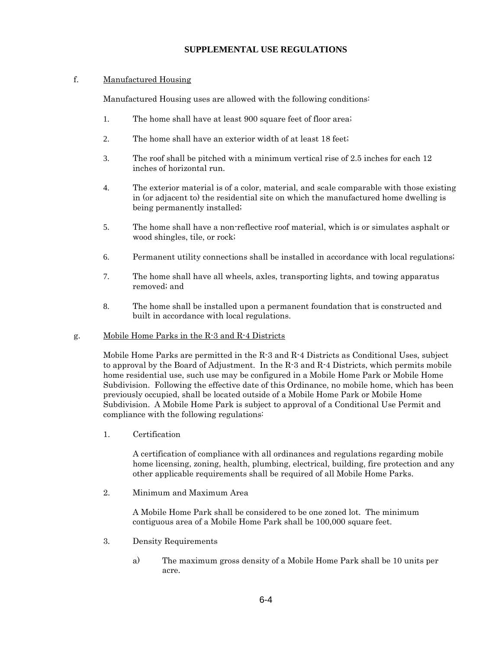#### f. Manufactured Housing

Manufactured Housing uses are allowed with the following conditions:

- 1. The home shall have at least 900 square feet of floor area;
- 2. The home shall have an exterior width of at least 18 feet;
- 3. The roof shall be pitched with a minimum vertical rise of 2.5 inches for each 12 inches of horizontal run.
- 4. The exterior material is of a color, material, and scale comparable with those existing in (or adjacent to) the residential site on which the manufactured home dwelling is being permanently installed;
- 5. The home shall have a non-reflective roof material, which is or simulates asphalt or wood shingles, tile, or rock;
- 6. Permanent utility connections shall be installed in accordance with local regulations;
- 7. The home shall have all wheels, axles, transporting lights, and towing apparatus removed; and
- 8. The home shall be installed upon a permanent foundation that is constructed and built in accordance with local regulations.

#### g. Mobile Home Parks in the R-3 and R-4 Districts

Mobile Home Parks are permitted in the R-3 and R-4 Districts as Conditional Uses, subject to approval by the Board of Adjustment. In the  $R-3$  and  $R-4$  Districts, which permits mobile home residential use, such use may be configured in a Mobile Home Park or Mobile Home Subdivision. Following the effective date of this Ordinance, no mobile home, which has been previously occupied, shall be located outside of a Mobile Home Park or Mobile Home Subdivision. A Mobile Home Park is subject to approval of a Conditional Use Permit and compliance with the following regulations:

1. Certification

A certification of compliance with all ordinances and regulations regarding mobile home licensing, zoning, health, plumbing, electrical, building, fire protection and any other applicable requirements shall be required of all Mobile Home Parks.

2. Minimum and Maximum Area

A Mobile Home Park shall be considered to be one zoned lot. The minimum contiguous area of a Mobile Home Park shall be 100,000 square feet.

- 3. Density Requirements
	- a) The maximum gross density of a Mobile Home Park shall be 10 units per acre.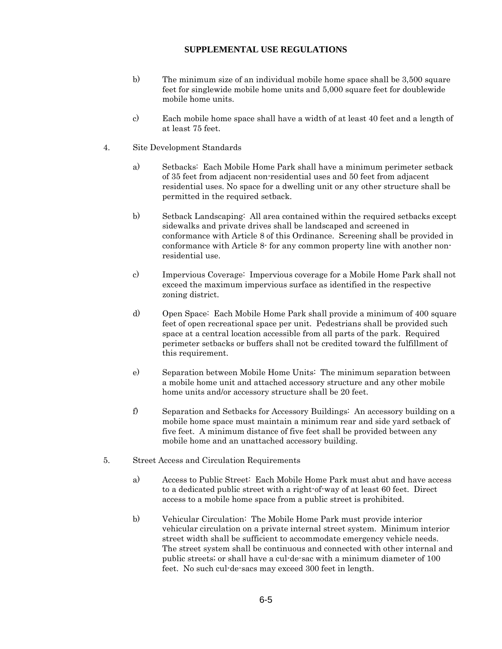- b) The minimum size of an individual mobile home space shall be 3,500 square feet for singlewide mobile home units and 5,000 square feet for doublewide mobile home units.
- c) Each mobile home space shall have a width of at least 40 feet and a length of at least 75 feet.
- 4. Site Development Standards
	- a) Setbacks: Each Mobile Home Park shall have a minimum perimeter setback of 35 feet from adjacent non-residential uses and 50 feet from adjacent residential uses. No space for a dwelling unit or any other structure shall be permitted in the required setback.
	- b) Setback Landscaping: All area contained within the required setbacks except sidewalks and private drives shall be landscaped and screened in conformance with Article 8 of this Ordinance. Screening shall be provided in conformance with Article 8- for any common property line with another nonresidential use.
	- c) Impervious Coverage: Impervious coverage for a Mobile Home Park shall not exceed the maximum impervious surface as identified in the respective zoning district.
	- d) Open Space: Each Mobile Home Park shall provide a minimum of 400 square feet of open recreational space per unit. Pedestrians shall be provided such space at a central location accessible from all parts of the park. Required perimeter setbacks or buffers shall not be credited toward the fulfillment of this requirement.
	- e) Separation between Mobile Home Units: The minimum separation between a mobile home unit and attached accessory structure and any other mobile home units and/or accessory structure shall be 20 feet.
	- f) Separation and Setbacks for Accessory Buildings: An accessory building on a mobile home space must maintain a minimum rear and side yard setback of five feet. A minimum distance of five feet shall be provided between any mobile home and an unattached accessory building.
- 5. Street Access and Circulation Requirements
	- a) Access to Public Street: Each Mobile Home Park must abut and have access to a dedicated public street with a right-of-way of at least 60 feet. Direct access to a mobile home space from a public street is prohibited.
	- b) Vehicular Circulation: The Mobile Home Park must provide interior vehicular circulation on a private internal street system. Minimum interior street width shall be sufficient to accommodate emergency vehicle needs. The street system shall be continuous and connected with other internal and public streets; or shall have a cul-de-sac with a minimum diameter of 100 feet. No such cul-de-sacs may exceed 300 feet in length.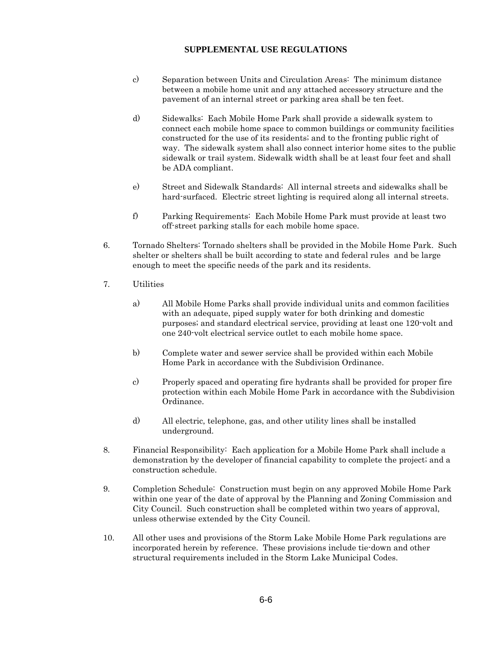- c) Separation between Units and Circulation Areas: The minimum distance between a mobile home unit and any attached accessory structure and the pavement of an internal street or parking area shall be ten feet.
- d) Sidewalks: Each Mobile Home Park shall provide a sidewalk system to connect each mobile home space to common buildings or community facilities constructed for the use of its residents; and to the fronting public right of way. The sidewalk system shall also connect interior home sites to the public sidewalk or trail system. Sidewalk width shall be at least four feet and shall be ADA compliant.
- e) Street and Sidewalk Standards: All internal streets and sidewalks shall be hard-surfaced. Electric street lighting is required along all internal streets.
- f) Parking Requirements: Each Mobile Home Park must provide at least two off-street parking stalls for each mobile home space.
- 6. Tornado Shelters: Tornado shelters shall be provided in the Mobile Home Park. Such shelter or shelters shall be built according to state and federal rules and be large enough to meet the specific needs of the park and its residents.
- 7. Utilities
	- a) All Mobile Home Parks shall provide individual units and common facilities with an adequate, piped supply water for both drinking and domestic purposes; and standard electrical service, providing at least one 120-volt and one 240-volt electrical service outlet to each mobile home space.
	- b) Complete water and sewer service shall be provided within each Mobile Home Park in accordance with the Subdivision Ordinance.
	- c) Properly spaced and operating fire hydrants shall be provided for proper fire protection within each Mobile Home Park in accordance with the Subdivision Ordinance.
	- d) All electric, telephone, gas, and other utility lines shall be installed underground.
- 8. Financial Responsibility: Each application for a Mobile Home Park shall include a demonstration by the developer of financial capability to complete the project; and a construction schedule.
- 9. Completion Schedule: Construction must begin on any approved Mobile Home Park within one year of the date of approval by the Planning and Zoning Commission and City Council. Such construction shall be completed within two years of approval, unless otherwise extended by the City Council.
- 10. All other uses and provisions of the Storm Lake Mobile Home Park regulations are incorporated herein by reference. These provisions include tie-down and other structural requirements included in the Storm Lake Municipal Codes.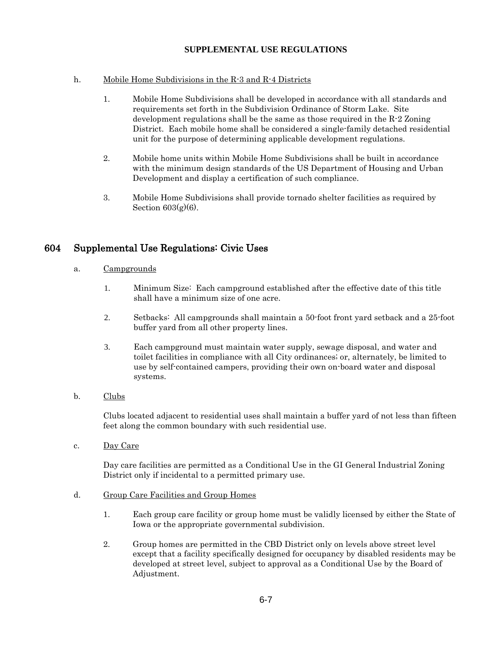#### h. Mobile Home Subdivisions in the R-3 and R-4 Districts

- 1. Mobile Home Subdivisions shall be developed in accordance with all standards and requirements set forth in the Subdivision Ordinance of Storm Lake. Site development regulations shall be the same as those required in the  $R-2$  Zoning District. Each mobile home shall be considered a single-family detached residential unit for the purpose of determining applicable development regulations.
- 2. Mobile home units within Mobile Home Subdivisions shall be built in accordance with the minimum design standards of the US Department of Housing and Urban Development and display a certification of such compliance.
- 3. Mobile Home Subdivisions shall provide tornado shelter facilities as required by Section  $603(g)(6)$ .

# 604 Supplemental Use Regulations: Civic Uses

- a. Campgrounds
	- 1. Minimum Size: Each campground established after the effective date of this title shall have a minimum size of one acre.
	- 2. Setbacks: All campgrounds shall maintain a 50-foot front yard setback and a 25-foot buffer yard from all other property lines.
	- 3. Each campground must maintain water supply, sewage disposal, and water and toilet facilities in compliance with all City ordinances; or, alternately, be limited to use by self-contained campers, providing their own on-board water and disposal systems.
- b. Clubs

Clubs located adjacent to residential uses shall maintain a buffer yard of not less than fifteen feet along the common boundary with such residential use.

c. Day Care

Day care facilities are permitted as a Conditional Use in the GI General Industrial Zoning District only if incidental to a permitted primary use.

- d. Group Care Facilities and Group Homes
	- 1. Each group care facility or group home must be validly licensed by either the State of Iowa or the appropriate governmental subdivision.
	- 2. Group homes are permitted in the CBD District only on levels above street level except that a facility specifically designed for occupancy by disabled residents may be developed at street level, subject to approval as a Conditional Use by the Board of Adjustment.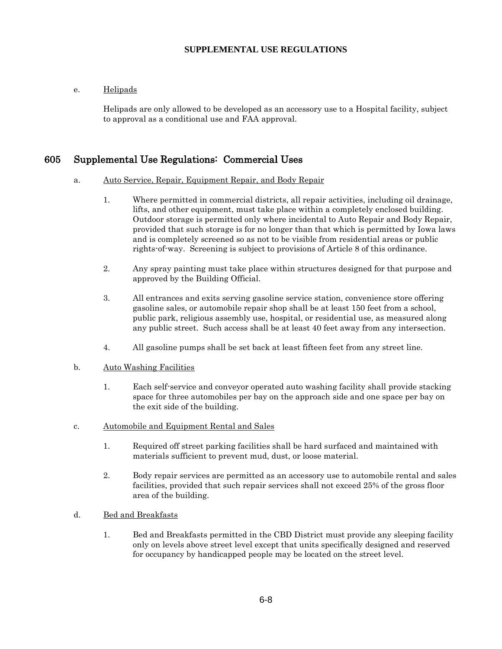## e. Helipads

Helipads are only allowed to be developed as an accessory use to a Hospital facility, subject to approval as a conditional use and FAA approval.

# 605 Supplemental Use Regulations: Commercial Uses

#### a. Auto Service, Repair, Equipment Repair, and Body Repair

- 1. Where permitted in commercial districts, all repair activities, including oil drainage, lifts, and other equipment, must take place within a completely enclosed building. Outdoor storage is permitted only where incidental to Auto Repair and Body Repair, provided that such storage is for no longer than that which is permitted by Iowa laws and is completely screened so as not to be visible from residential areas or public rights-of-way. Screening is subject to provisions of Article 8 of this ordinance.
- 2. Any spray painting must take place within structures designed for that purpose and approved by the Building Official.
- 3. All entrances and exits serving gasoline service station, convenience store offering gasoline sales, or automobile repair shop shall be at least 150 feet from a school, public park, religious assembly use, hospital, or residential use, as measured along any public street. Such access shall be at least 40 feet away from any intersection.
- 4. All gasoline pumps shall be set back at least fifteen feet from any street line.

#### b. Auto Washing Facilities

- 1. Each self-service and conveyor operated auto washing facility shall provide stacking space for three automobiles per bay on the approach side and one space per bay on the exit side of the building.
- c. Automobile and Equipment Rental and Sales
	- 1. Required off street parking facilities shall be hard surfaced and maintained with materials sufficient to prevent mud, dust, or loose material.
	- 2. Body repair services are permitted as an accessory use to automobile rental and sales facilities, provided that such repair services shall not exceed 25% of the gross floor area of the building.
- d. Bed and Breakfasts
	- 1. Bed and Breakfasts permitted in the CBD District must provide any sleeping facility only on levels above street level except that units specifically designed and reserved for occupancy by handicapped people may be located on the street level.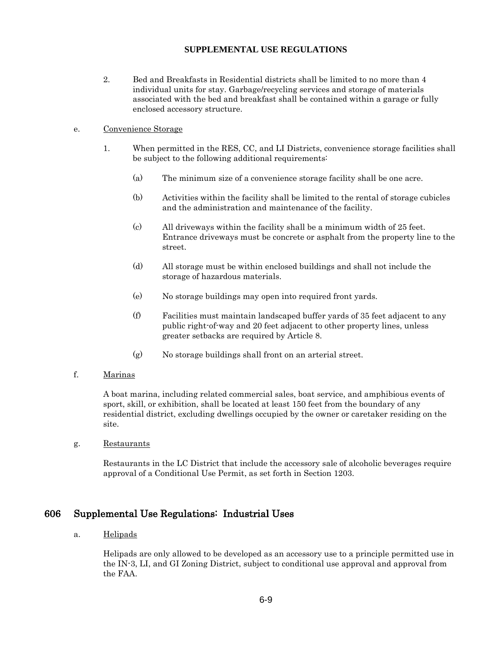2. Bed and Breakfasts in Residential districts shall be limited to no more than 4 individual units for stay. Garbage/recycling services and storage of materials associated with the bed and breakfast shall be contained within a garage or fully enclosed accessory structure.

#### e. Convenience Storage

- 1. When permitted in the RES, CC, and LI Districts, convenience storage facilities shall be subject to the following additional requirements:
	- (a) The minimum size of a convenience storage facility shall be one acre.
	- (b) Activities within the facility shall be limited to the rental of storage cubicles and the administration and maintenance of the facility.
	- (c) All driveways within the facility shall be a minimum width of 25 feet. Entrance driveways must be concrete or asphalt from the property line to the street.
	- (d) All storage must be within enclosed buildings and shall not include the storage of hazardous materials.
	- (e) No storage buildings may open into required front yards.
	- (f) Facilities must maintain landscaped buffer yards of 35 feet adjacent to any public right-of-way and 20 feet adjacent to other property lines, unless greater setbacks are required by Article 8.
	- (g) No storage buildings shall front on an arterial street.

#### f. Marinas

A boat marina, including related commercial sales, boat service, and amphibious events of sport, skill, or exhibition, shall be located at least 150 feet from the boundary of any residential district, excluding dwellings occupied by the owner or caretaker residing on the site.

g. Restaurants

Restaurants in the LC District that include the accessory sale of alcoholic beverages require approval of a Conditional Use Permit, as set forth in Section 1203.

## 606 Supplemental Use Regulations: Industrial Uses

## a. Helipads

Helipads are only allowed to be developed as an accessory use to a principle permitted use in the IN-3, LI, and GI Zoning District, subject to conditional use approval and approval from the FAA.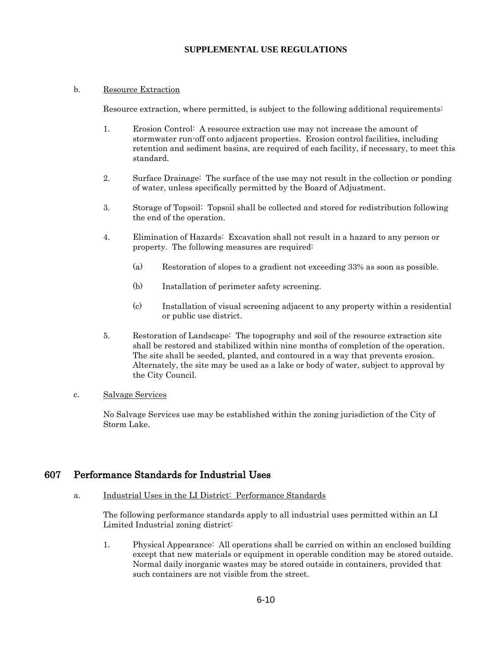## b. Resource Extraction

Resource extraction, where permitted, is subject to the following additional requirements:

- 1. Erosion Control: A resource extraction use may not increase the amount of stormwater run-off onto adjacent properties. Erosion control facilities, including retention and sediment basins, are required of each facility, if necessary, to meet this standard.
- 2. Surface Drainage: The surface of the use may not result in the collection or ponding of water, unless specifically permitted by the Board of Adjustment.
- 3. Storage of Topsoil: Topsoil shall be collected and stored for redistribution following the end of the operation.
- 4. Elimination of Hazards: Excavation shall not result in a hazard to any person or property. The following measures are required:
	- (a) Restoration of slopes to a gradient not exceeding 33% as soon as possible.
	- (b) Installation of perimeter safety screening.
	- (c) Installation of visual screening adjacent to any property within a residential or public use district.
- 5. Restoration of Landscape: The topography and soil of the resource extraction site shall be restored and stabilized within nine months of completion of the operation. The site shall be seeded, planted, and contoured in a way that prevents erosion. Alternately, the site may be used as a lake or body of water, subject to approval by the City Council.

## c. Salvage Services

No Salvage Services use may be established within the zoning jurisdiction of the City of Storm Lake.

# 607 Performance Standards for Industrial Uses

a. Industrial Uses in the LI District: Performance Standards

The following performance standards apply to all industrial uses permitted within an LI Limited Industrial zoning district:

1. Physical Appearance: All operations shall be carried on within an enclosed building except that new materials or equipment in operable condition may be stored outside. Normal daily inorganic wastes may be stored outside in containers, provided that such containers are not visible from the street.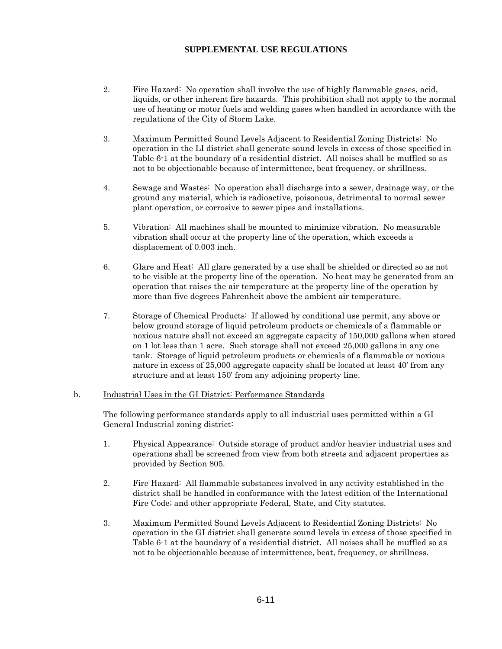- 2. Fire Hazard: No operation shall involve the use of highly flammable gases, acid, liquids, or other inherent fire hazards. This prohibition shall not apply to the normal use of heating or motor fuels and welding gases when handled in accordance with the regulations of the City of Storm Lake.
- 3. Maximum Permitted Sound Levels Adjacent to Residential Zoning Districts: No operation in the LI district shall generate sound levels in excess of those specified in Table 6-1 at the boundary of a residential district. All noises shall be muffled so as not to be objectionable because of intermittence, beat frequency, or shrillness.
- 4. Sewage and Wastes: No operation shall discharge into a sewer, drainage way, or the ground any material, which is radioactive, poisonous, detrimental to normal sewer plant operation, or corrosive to sewer pipes and installations.
- 5. Vibration: All machines shall be mounted to minimize vibration. No measurable vibration shall occur at the property line of the operation, which exceeds a displacement of 0.003 inch.
- 6. Glare and Heat: All glare generated by a use shall be shielded or directed so as not to be visible at the property line of the operation. No heat may be generated from an operation that raises the air temperature at the property line of the operation by more than five degrees Fahrenheit above the ambient air temperature.
- 7. Storage of Chemical Products: If allowed by conditional use permit, any above or below ground storage of liquid petroleum products or chemicals of a flammable or noxious nature shall not exceed an aggregate capacity of 150,000 gallons when stored on 1 lot less than 1 acre. Such storage shall not exceed 25,000 gallons in any one tank. Storage of liquid petroleum products or chemicals of a flammable or noxious nature in excess of 25,000 aggregate capacity shall be located at least 40' from any structure and at least 150' from any adjoining property line.

#### b. Industrial Uses in the GI District: Performance Standards

The following performance standards apply to all industrial uses permitted within a GI General Industrial zoning district:

- 1. Physical Appearance: Outside storage of product and/or heavier industrial uses and operations shall be screened from view from both streets and adjacent properties as provided by Section 805.
- 2. Fire Hazard: All flammable substances involved in any activity established in the district shall be handled in conformance with the latest edition of the International Fire Code; and other appropriate Federal, State, and City statutes.
- 3. Maximum Permitted Sound Levels Adjacent to Residential Zoning Districts: No operation in the GI district shall generate sound levels in excess of those specified in Table 6-1 at the boundary of a residential district. All noises shall be muffled so as not to be objectionable because of intermittence, beat, frequency, or shrillness.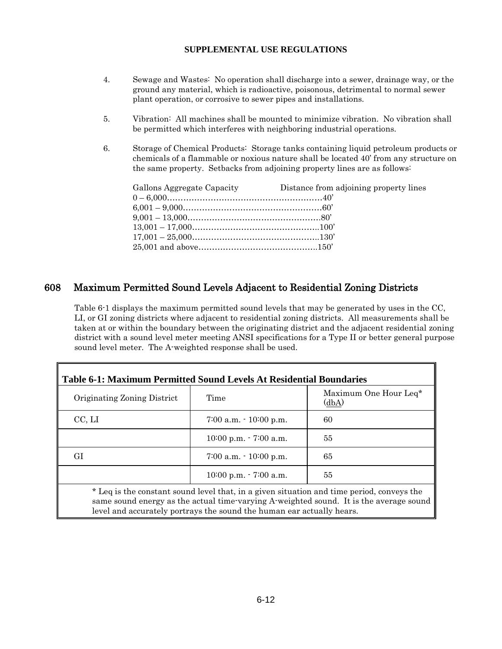- 4. Sewage and Wastes: No operation shall discharge into a sewer, drainage way, or the ground any material, which is radioactive, poisonous, detrimental to normal sewer plant operation, or corrosive to sewer pipes and installations.
- 5. Vibration: All machines shall be mounted to minimize vibration. No vibration shall be permitted which interferes with neighboring industrial operations.
- 6. Storage of Chemical Products: Storage tanks containing liquid petroleum products or chemicals of a flammable or noxious nature shall be located 40' from any structure on the same property. Setbacks from adjoining property lines are as follows:

| Gallons Aggregate Capacity | Distance from adjoining property lines |
|----------------------------|----------------------------------------|
|                            |                                        |
|                            |                                        |
|                            |                                        |
|                            |                                        |
|                            |                                        |
|                            |                                        |

# 608 Maximum Permitted Sound Levels Adjacent to Residential Zoning Districts

Table 6-1 displays the maximum permitted sound levels that may be generated by uses in the CC, LI, or GI zoning districts where adjacent to residential zoning districts. All measurements shall be taken at or within the boundary between the originating district and the adjacent residential zoning district with a sound level meter meeting ANSI specifications for a Type II or better general purpose sound level meter. The A-weighted response shall be used.

| Table 6-1: Maximum Permitted Sound Levels At Residential Boundaries |                                                                                           |                                |
|---------------------------------------------------------------------|-------------------------------------------------------------------------------------------|--------------------------------|
| Originating Zoning District                                         | Time                                                                                      | Maximum One Hour Leq*<br>(dbA) |
| CC, LI                                                              | $7:00$ a.m. $\cdot$ 10:00 p.m.                                                            | 60                             |
|                                                                     | $10:00$ p.m. $-7:00$ a.m.                                                                 | 55                             |
| GІ                                                                  | $7:00$ a.m. $\cdot$ 10:00 p.m.                                                            | 65                             |
|                                                                     | $10:00$ p.m. $\cdot$ 7:00 a.m.                                                            | 55                             |
|                                                                     | * Leq is the constant sound level that, in a given situation and time period, conveys the |                                |

same sound energy as the actual time-varying A-weighted sound. It is the average sound level and accurately portrays the sound the human ear actually hears.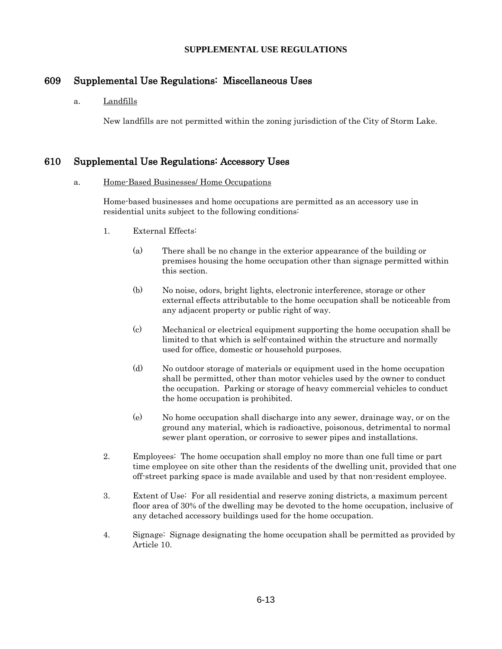# 609 Supplemental Use Regulations: Miscellaneous Uses

#### a. Landfills

New landfills are not permitted within the zoning jurisdiction of the City of Storm Lake.

# 610 Supplemental Use Regulations: Accessory Uses

#### a. Home-Based Businesses/ Home Occupations

Home-based businesses and home occupations are permitted as an accessory use in residential units subject to the following conditions:

- 1. External Effects:
	- (a) There shall be no change in the exterior appearance of the building or premises housing the home occupation other than signage permitted within this section.
	- (b) No noise, odors, bright lights, electronic interference, storage or other external effects attributable to the home occupation shall be noticeable from any adjacent property or public right of way.
	- (c) Mechanical or electrical equipment supporting the home occupation shall be limited to that which is self-contained within the structure and normally used for office, domestic or household purposes.
	- (d) No outdoor storage of materials or equipment used in the home occupation shall be permitted, other than motor vehicles used by the owner to conduct the occupation. Parking or storage of heavy commercial vehicles to conduct the home occupation is prohibited.
	- (e) No home occupation shall discharge into any sewer, drainage way, or on the ground any material, which is radioactive, poisonous, detrimental to normal sewer plant operation, or corrosive to sewer pipes and installations.
- 2. Employees: The home occupation shall employ no more than one full time or part time employee on site other than the residents of the dwelling unit, provided that one off-street parking space is made available and used by that non-resident employee.
- 3. Extent of Use: For all residential and reserve zoning districts, a maximum percent floor area of 30% of the dwelling may be devoted to the home occupation, inclusive of any detached accessory buildings used for the home occupation.
- 4. Signage: Signage designating the home occupation shall be permitted as provided by Article 10.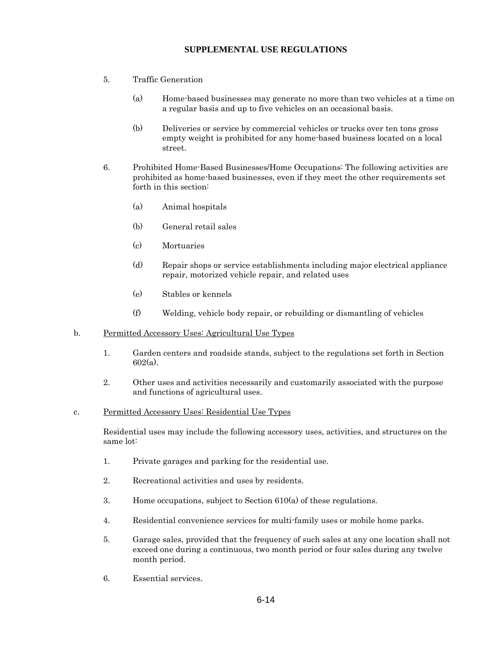- 5. Traffic Generation
	- (a) Home-based businesses may generate no more than two vehicles at a time on a regular basis and up to five vehicles on an occasional basis.
	- (b) Deliveries or service by commercial vehicles or trucks over ten tons gross empty weight is prohibited for any home-based business located on a local street.
- 6. Prohibited Home-Based Businesses/Home Occupations: The following activities are prohibited as home-based businesses, even if they meet the other requirements set forth in this section:
	- (a) Animal hospitals
	- (b) General retail sales
	- (c) Mortuaries
	- (d) Repair shops or service establishments including major electrical appliance repair, motorized vehicle repair, and related uses
	- (e) Stables or kennels
	- (f) Welding, vehicle body repair, or rebuilding or dismantling of vehicles
- b. Permitted Accessory Uses: Agricultural Use Types
	- 1. Garden centers and roadside stands, subject to the regulations set forth in Section 602(a).
	- 2. Other uses and activities necessarily and customarily associated with the purpose and functions of agricultural uses.
- c. Permitted Accessory Uses: Residential Use Types

Residential uses may include the following accessory uses, activities, and structures on the same lot:

- 1. Private garages and parking for the residential use.
- 2. Recreational activities and uses by residents.
- 3. Home occupations, subject to Section 610(a) of these regulations.
- 4. Residential convenience services for multi-family uses or mobile home parks.
- 5. Garage sales, provided that the frequency of such sales at any one location shall not exceed one during a continuous, two month period or four sales during any twelve month period.
- 6. Essential services.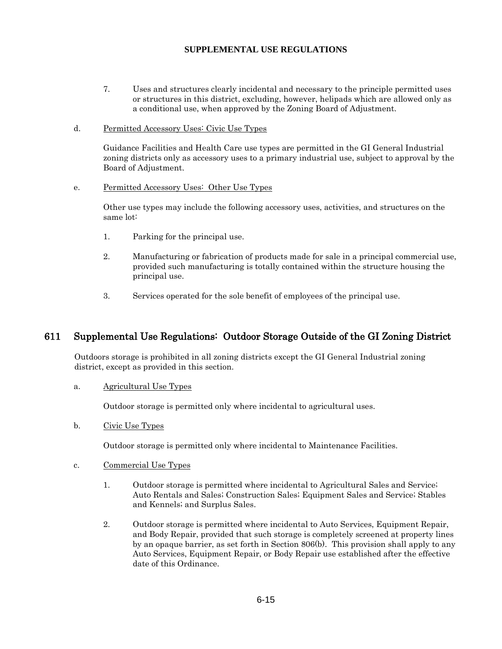- 7. Uses and structures clearly incidental and necessary to the principle permitted uses or structures in this district, excluding, however, helipads which are allowed only as a conditional use, when approved by the Zoning Board of Adjustment.
- d. Permitted Accessory Uses: Civic Use Types

Guidance Facilities and Health Care use types are permitted in the GI General Industrial zoning districts only as accessory uses to a primary industrial use, subject to approval by the Board of Adjustment.

e. Permitted Accessory Uses: Other Use Types

Other use types may include the following accessory uses, activities, and structures on the same lot:

- 1. Parking for the principal use.
- 2. Manufacturing or fabrication of products made for sale in a principal commercial use, provided such manufacturing is totally contained within the structure housing the principal use.
- 3. Services operated for the sole benefit of employees of the principal use.

# 611 Supplemental Use Regulations: Outdoor Storage Outside of the GI Zoning District

Outdoors storage is prohibited in all zoning districts except the GI General Industrial zoning district, except as provided in this section.

a. Agricultural Use Types

Outdoor storage is permitted only where incidental to agricultural uses.

b. Civic Use Types

Outdoor storage is permitted only where incidental to Maintenance Facilities.

#### c. Commercial Use Types

- 1. Outdoor storage is permitted where incidental to Agricultural Sales and Service; Auto Rentals and Sales; Construction Sales; Equipment Sales and Service; Stables and Kennels; and Surplus Sales.
- 2. Outdoor storage is permitted where incidental to Auto Services, Equipment Repair, and Body Repair, provided that such storage is completely screened at property lines by an opaque barrier, as set forth in Section 806(b). This provision shall apply to any Auto Services, Equipment Repair, or Body Repair use established after the effective date of this Ordinance.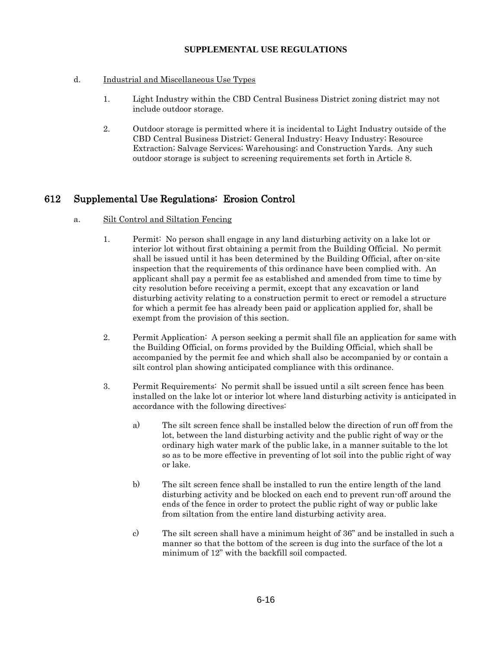## d. Industrial and Miscellaneous Use Types

- 1. Light Industry within the CBD Central Business District zoning district may not include outdoor storage.
- 2. Outdoor storage is permitted where it is incidental to Light Industry outside of the CBD Central Business District; General Industry; Heavy Industry; Resource Extraction; Salvage Services; Warehousing; and Construction Yards. Any such outdoor storage is subject to screening requirements set forth in Article 8.

# 612 Supplemental Use Regulations: Erosion Control

## a. Silt Control and Siltation Fencing

- 1. Permit: No person shall engage in any land disturbing activity on a lake lot or interior lot without first obtaining a permit from the Building Official. No permit shall be issued until it has been determined by the Building Official, after on-site inspection that the requirements of this ordinance have been complied with. An applicant shall pay a permit fee as established and amended from time to time by city resolution before receiving a permit, except that any excavation or land disturbing activity relating to a construction permit to erect or remodel a structure for which a permit fee has already been paid or application applied for, shall be exempt from the provision of this section.
- 2. Permit Application: A person seeking a permit shall file an application for same with the Building Official, on forms provided by the Building Official, which shall be accompanied by the permit fee and which shall also be accompanied by or contain a silt control plan showing anticipated compliance with this ordinance.
- 3. Permit Requirements: No permit shall be issued until a silt screen fence has been installed on the lake lot or interior lot where land disturbing activity is anticipated in accordance with the following directives:
	- a) The silt screen fence shall be installed below the direction of run off from the lot, between the land disturbing activity and the public right of way or the ordinary high water mark of the public lake, in a manner suitable to the lot so as to be more effective in preventing of lot soil into the public right of way or lake.
	- b) The silt screen fence shall be installed to run the entire length of the land disturbing activity and be blocked on each end to prevent run-off around the ends of the fence in order to protect the public right of way or public lake from siltation from the entire land disturbing activity area.
	- c) The silt screen shall have a minimum height of 36" and be installed in such a manner so that the bottom of the screen is dug into the surface of the lot a minimum of 12" with the backfill soil compacted.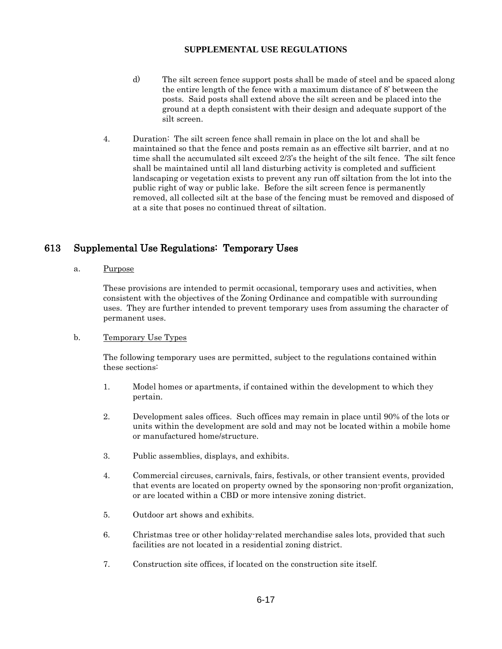- d) The silt screen fence support posts shall be made of steel and be spaced along the entire length of the fence with a maximum distance of 8' between the posts. Said posts shall extend above the silt screen and be placed into the ground at a depth consistent with their design and adequate support of the silt screen.
- 4. Duration: The silt screen fence shall remain in place on the lot and shall be maintained so that the fence and posts remain as an effective silt barrier, and at no time shall the accumulated silt exceed 2/3's the height of the silt fence. The silt fence shall be maintained until all land disturbing activity is completed and sufficient landscaping or vegetation exists to prevent any run off siltation from the lot into the public right of way or public lake. Before the silt screen fence is permanently removed, all collected silt at the base of the fencing must be removed and disposed of at a site that poses no continued threat of siltation.

# 613 Supplemental Use Regulations: Temporary Uses

a. Purpose

These provisions are intended to permit occasional, temporary uses and activities, when consistent with the objectives of the Zoning Ordinance and compatible with surrounding uses. They are further intended to prevent temporary uses from assuming the character of permanent uses.

#### b. Temporary Use Types

The following temporary uses are permitted, subject to the regulations contained within these sections:

- 1. Model homes or apartments, if contained within the development to which they pertain.
- 2. Development sales offices. Such offices may remain in place until 90% of the lots or units within the development are sold and may not be located within a mobile home or manufactured home/structure.
- 3. Public assemblies, displays, and exhibits.
- 4. Commercial circuses, carnivals, fairs, festivals, or other transient events, provided that events are located on property owned by the sponsoring non-profit organization, or are located within a CBD or more intensive zoning district.
- 5. Outdoor art shows and exhibits.
- 6. Christmas tree or other holiday-related merchandise sales lots, provided that such facilities are not located in a residential zoning district.
- 7. Construction site offices, if located on the construction site itself.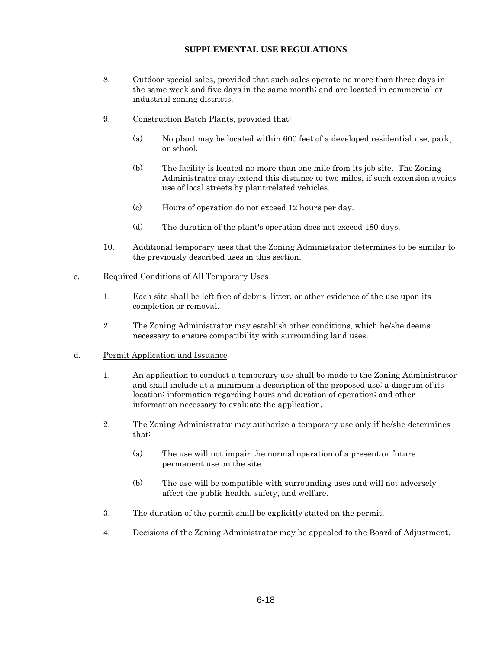- 8. Outdoor special sales, provided that such sales operate no more than three days in the same week and five days in the same month; and are located in commercial or industrial zoning districts.
- 9. Construction Batch Plants, provided that:
	- (a) No plant may be located within 600 feet of a developed residential use, park, or school.
	- (b) The facility is located no more than one mile from its job site. The Zoning Administrator may extend this distance to two miles, if such extension avoids use of local streets by plant-related vehicles.
	- (c) Hours of operation do not exceed 12 hours per day.
	- (d) The duration of the plant's operation does not exceed 180 days.
- 10. Additional temporary uses that the Zoning Administrator determines to be similar to the previously described uses in this section.

#### c. Required Conditions of All Temporary Uses

- 1. Each site shall be left free of debris, litter, or other evidence of the use upon its completion or removal.
- 2. The Zoning Administrator may establish other conditions, which he/she deems necessary to ensure compatibility with surrounding land uses.

#### d. Permit Application and Issuance

- 1. An application to conduct a temporary use shall be made to the Zoning Administrator and shall include at a minimum a description of the proposed use; a diagram of its location; information regarding hours and duration of operation; and other information necessary to evaluate the application.
- 2. The Zoning Administrator may authorize a temporary use only if he/she determines that:
	- (a) The use will not impair the normal operation of a present or future permanent use on the site.
	- (b) The use will be compatible with surrounding uses and will not adversely affect the public health, safety, and welfare.
- 3. The duration of the permit shall be explicitly stated on the permit.
- 4. Decisions of the Zoning Administrator may be appealed to the Board of Adjustment.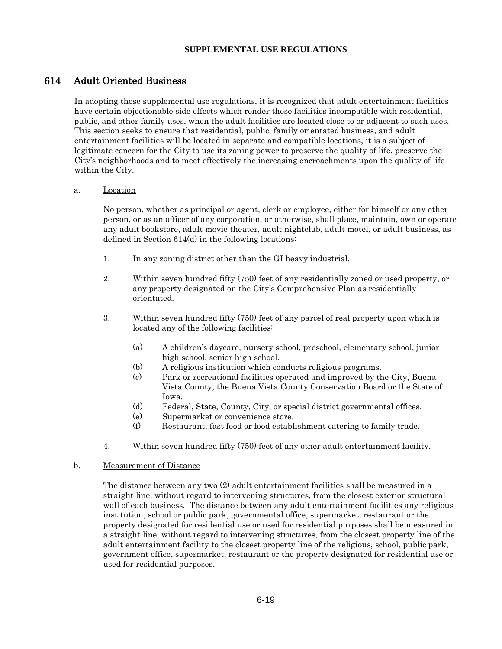# 614 Adult Oriented Business

In adopting these supplemental use regulations, it is recognized that adult entertainment facilities have certain objectionable side effects which render these facilities incompatible with residential, public, and other family uses, when the adult facilities are located close to or adjacent to such uses. This section seeks to ensure that residential, public, family orientated business, and adult entertainment facilities will be located in separate and compatible locations, it is a subject of legitimate concern for the City to use its zoning power to preserve the quality of life, preserve the City's neighborhoods and to meet effectively the increasing encroachments upon the quality of life within the City.

#### a. Location

No person, whether as principal or agent, clerk or employee, either for himself or any other person, or as an officer of any corporation, or otherwise, shall place, maintain, own or operate any adult bookstore, adult movie theater, adult nightclub, adult motel, or adult business, as defined in Section 614(d) in the following locations:

- 1. In any zoning district other than the GI heavy industrial.
- 2. Within seven hundred fifty (750) feet of any residentially zoned or used property, or any property designated on the City's Comprehensive Plan as residentially orientated.
- 3. Within seven hundred fifty (750) feet of any parcel of real property upon which is located any of the following facilities:
	- (a) A children's daycare, nursery school, preschool, elementary school, junior high school, senior high school.
	- (b) A religious institution which conducts religious programs.
	- (c) Park or recreational facilities operated and improved by the City, Buena Vista County, the Buena Vista County Conservation Board or the State of Iowa.
	- (d) Federal, State, County, City, or special district governmental offices.
	- (e) Supermarket or convenience store.
	- (f) Restaurant, fast food or food establishment catering to family trade.
- 4. Within seven hundred fifty (750) feet of any other adult entertainment facility.

#### b. Measurement of Distance

The distance between any two (2) adult entertainment facilities shall be measured in a straight line, without regard to intervening structures, from the closest exterior structural wall of each business. The distance between any adult entertainment facilities any religious institution, school or public park, governmental office, supermarket, restaurant or the property designated for residential use or used for residential purposes shall be measured in a straight line, without regard to intervening structures, from the closest property line of the adult entertainment facility to the closest property line of the religious, school, public park, government office, supermarket, restaurant or the property designated for residential use or used for residential purposes.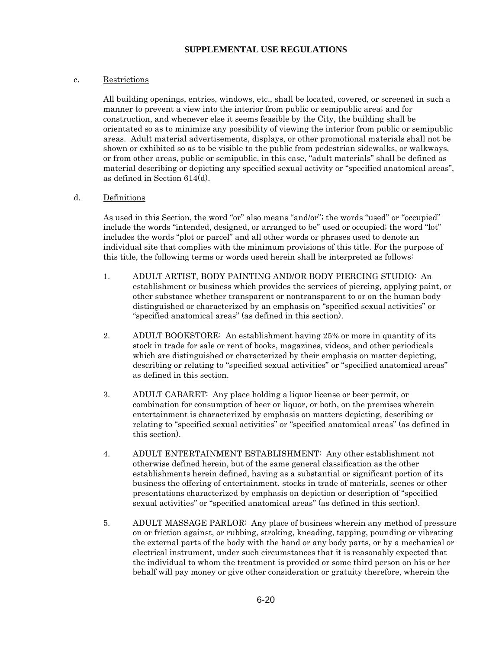#### c. Restrictions

All building openings, entries, windows, etc., shall be located, covered, or screened in such a manner to prevent a view into the interior from public or semipublic area; and for construction, and whenever else it seems feasible by the City, the building shall be orientated so as to minimize any possibility of viewing the interior from public or semipublic areas. Adult material advertisements, displays, or other promotional materials shall not be shown or exhibited so as to be visible to the public from pedestrian sidewalks, or walkways, or from other areas, public or semipublic, in this case, "adult materials" shall be defined as material describing or depicting any specified sexual activity or "specified anatomical areas", as defined in Section 614(d).

#### d. Definitions

As used in this Section, the word "or" also means "and/or"; the words "used" or "occupied" include the words "intended, designed, or arranged to be" used or occupied; the word "lot" includes the words "plot or parcel" and all other words or phrases used to denote an individual site that complies with the minimum provisions of this title. For the purpose of this title, the following terms or words used herein shall be interpreted as follows:

- 1. ADULT ARTIST, BODY PAINTING AND/OR BODY PIERCING STUDIO: An establishment or business which provides the services of piercing, applying paint, or other substance whether transparent or nontransparent to or on the human body distinguished or characterized by an emphasis on "specified sexual activities" or "specified anatomical areas" (as defined in this section).
- 2. ADULT BOOKSTORE: An establishment having 25% or more in quantity of its stock in trade for sale or rent of books, magazines, videos, and other periodicals which are distinguished or characterized by their emphasis on matter depicting, describing or relating to "specified sexual activities" or "specified anatomical areas" as defined in this section.
- 3. ADULT CABARET: Any place holding a liquor license or beer permit, or combination for consumption of beer or liquor, or both, on the premises wherein entertainment is characterized by emphasis on matters depicting, describing or relating to "specified sexual activities" or "specified anatomical areas" (as defined in this section).
- 4. ADULT ENTERTAINMENT ESTABLISHMENT: Any other establishment not otherwise defined herein, but of the same general classification as the other establishments herein defined, having as a substantial or significant portion of its business the offering of entertainment, stocks in trade of materials, scenes or other presentations characterized by emphasis on depiction or description of "specified sexual activities" or "specified anatomical areas" (as defined in this section).
- 5. ADULT MASSAGE PARLOR: Any place of business wherein any method of pressure on or friction against, or rubbing, stroking, kneading, tapping, pounding or vibrating the external parts of the body with the hand or any body parts, or by a mechanical or electrical instrument, under such circumstances that it is reasonably expected that the individual to whom the treatment is provided or some third person on his or her behalf will pay money or give other consideration or gratuity therefore, wherein the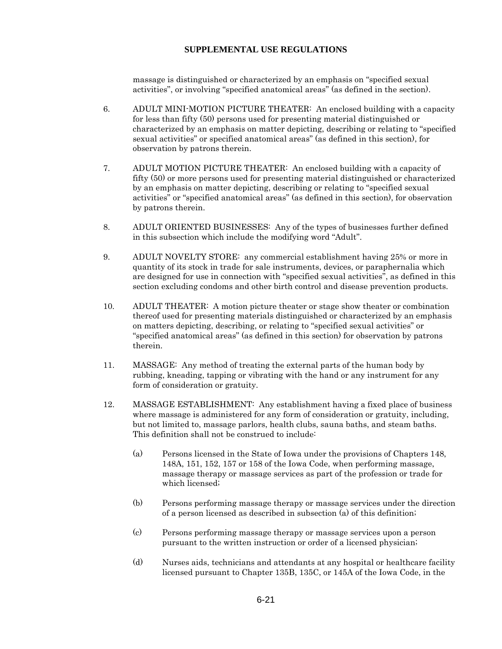massage is distinguished or characterized by an emphasis on "specified sexual activities", or involving "specified anatomical areas" (as defined in the section).

- 6. ADULT MINI-MOTION PICTURE THEATER: An enclosed building with a capacity for less than fifty (50) persons used for presenting material distinguished or characterized by an emphasis on matter depicting, describing or relating to "specified sexual activities" or specified anatomical areas" (as defined in this section), for observation by patrons therein.
- 7. ADULT MOTION PICTURE THEATER: An enclosed building with a capacity of fifty (50) or more persons used for presenting material distinguished or characterized by an emphasis on matter depicting, describing or relating to "specified sexual activities" or "specified anatomical areas" (as defined in this section), for observation by patrons therein.
- 8. ADULT ORIENTED BUSINESSES: Any of the types of businesses further defined in this subsection which include the modifying word "Adult".
- 9. ADULT NOVELTY STORE: any commercial establishment having 25% or more in quantity of its stock in trade for sale instruments, devices, or paraphernalia which are designed for use in connection with "specified sexual activities", as defined in this section excluding condoms and other birth control and disease prevention products.
- 10. ADULT THEATER: A motion picture theater or stage show theater or combination thereof used for presenting materials distinguished or characterized by an emphasis on matters depicting, describing, or relating to "specified sexual activities" or "specified anatomical areas" (as defined in this section) for observation by patrons therein.
- 11. MASSAGE: Any method of treating the external parts of the human body by rubbing, kneading, tapping or vibrating with the hand or any instrument for any form of consideration or gratuity.
- 12. MASSAGE ESTABLISHMENT: Any establishment having a fixed place of business where massage is administered for any form of consideration or gratuity, including, but not limited to, massage parlors, health clubs, sauna baths, and steam baths. This definition shall not be construed to include:
	- (a) Persons licensed in the State of Iowa under the provisions of Chapters 148, 148A, 151, 152, 157 or 158 of the Iowa Code, when performing massage, massage therapy or massage services as part of the profession or trade for which licensed;
	- (b) Persons performing massage therapy or massage services under the direction of a person licensed as described in subsection (a) of this definition;
	- (c) Persons performing massage therapy or massage services upon a person pursuant to the written instruction or order of a licensed physician;
	- (d) Nurses aids, technicians and attendants at any hospital or healthcare facility licensed pursuant to Chapter 135B, 135C, or 145A of the Iowa Code, in the